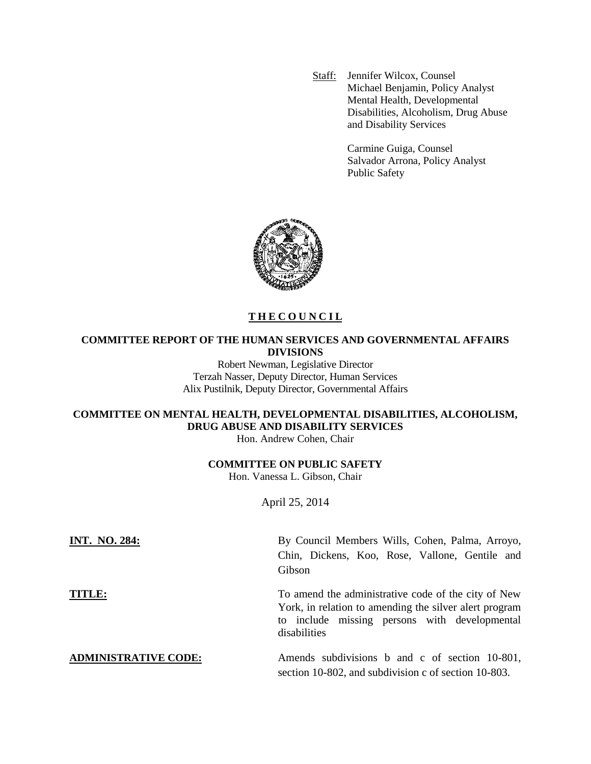Staff: Jennifer Wilcox, Counsel Michael Benjamin, Policy Analyst Mental Health, Developmental Disabilities, Alcoholism, Drug Abuse and Disability Services

> Carmine Guiga, Counsel Salvador Arrona, Policy Analyst Public Safety



# **T H E C O U N C I L**

# **COMMITTEE REPORT OF THE HUMAN SERVICES AND GOVERNMENTAL AFFAIRS DIVISIONS**

Robert Newman, Legislative Director Terzah Nasser, Deputy Director, Human Services Alix Pustilnik, Deputy Director, Governmental Affairs

# **COMMITTEE ON MENTAL HEALTH, DEVELOPMENTAL DISABILITIES, ALCOHOLISM, DRUG ABUSE AND DISABILITY SERVICES**

Hon. Andrew Cohen, Chair

### **COMMITTEE ON PUBLIC SAFETY**

Hon. Vanessa L. Gibson, Chair

April 25, 2014

| <b>INT. NO. 284:</b>        | By Council Members Wills, Cohen, Palma, Arroyo,                                                                                                                                |
|-----------------------------|--------------------------------------------------------------------------------------------------------------------------------------------------------------------------------|
|                             | Chin, Dickens, Koo, Rose, Vallone, Gentile and                                                                                                                                 |
|                             | Gibson                                                                                                                                                                         |
| TITLE:                      | To amend the administrative code of the city of New<br>York, in relation to amending the silver alert program<br>to include missing persons with developmental<br>disabilities |
| <b>ADMINISTRATIVE CODE:</b> | Amends subdivisions b and c of section 10-801,<br>section 10-802, and subdivision c of section 10-803.                                                                         |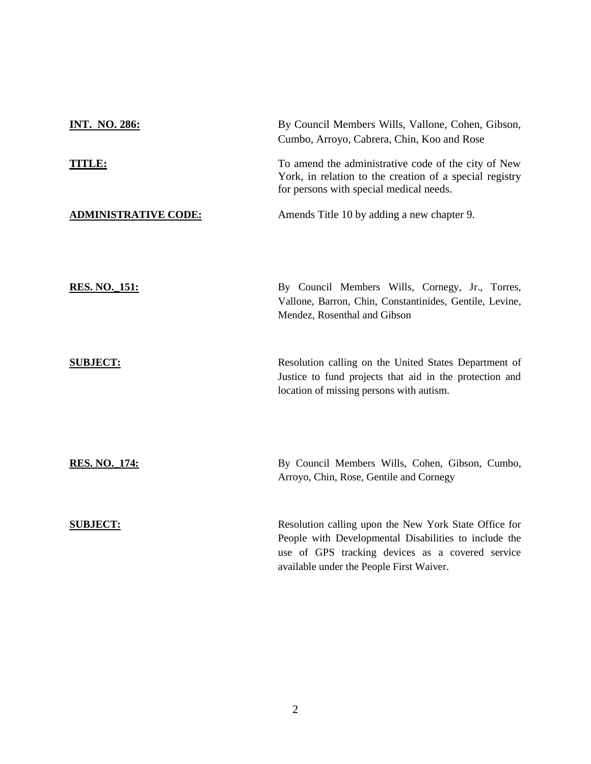| <b>INT. NO. 286:</b>        | By Council Members Wills, Vallone, Cohen, Gibson,<br>Cumbo, Arroyo, Cabrera, Chin, Koo and Rose                                                                                                                |
|-----------------------------|----------------------------------------------------------------------------------------------------------------------------------------------------------------------------------------------------------------|
| <b>TITLE:</b>               | To amend the administrative code of the city of New<br>York, in relation to the creation of a special registry<br>for persons with special medical needs.                                                      |
| <b>ADMINISTRATIVE CODE:</b> | Amends Title 10 by adding a new chapter 9.                                                                                                                                                                     |
| <b>RES. NO. 151:</b>        | By Council Members Wills, Cornegy, Jr., Torres,<br>Vallone, Barron, Chin, Constantinides, Gentile, Levine,<br>Mendez, Rosenthal and Gibson                                                                     |
| <b>SUBJECT:</b>             | Resolution calling on the United States Department of<br>Justice to fund projects that aid in the protection and<br>location of missing persons with autism.                                                   |
| <u>RES. NO. 174:</u>        | By Council Members Wills, Cohen, Gibson, Cumbo,<br>Arroyo, Chin, Rose, Gentile and Cornegy                                                                                                                     |
| <b>SUBJECT:</b>             | Resolution calling upon the New York State Office for<br>People with Developmental Disabilities to include the<br>use of GPS tracking devices as a covered service<br>available under the People First Waiver. |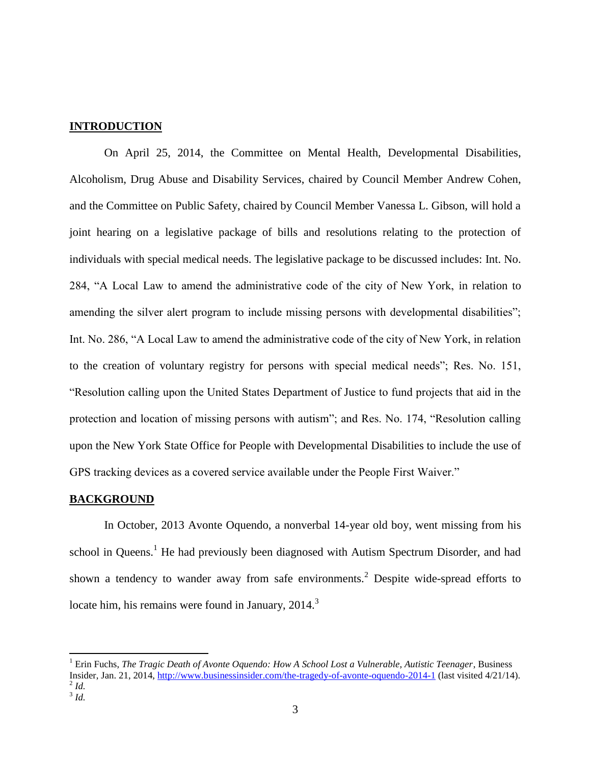# **INTRODUCTION**

On April 25, 2014, the Committee on Mental Health, Developmental Disabilities, Alcoholism, Drug Abuse and Disability Services, chaired by Council Member Andrew Cohen, and the Committee on Public Safety, chaired by Council Member Vanessa L. Gibson, will hold a joint hearing on a legislative package of bills and resolutions relating to the protection of individuals with special medical needs. The legislative package to be discussed includes: Int. No. 284, "A Local Law to amend the administrative code of the city of New York, in relation to amending the silver alert program to include missing persons with developmental disabilities"; Int. No. 286, "A Local Law to amend the administrative code of the city of New York, in relation to the creation of voluntary registry for persons with special medical needs"; Res. No. 151, "Resolution calling upon the United States Department of Justice to fund projects that aid in the protection and location of missing persons with autism"; and Res. No. 174, "Resolution calling upon the New York State Office for People with Developmental Disabilities to include the use of GPS tracking devices as a covered service available under the People First Waiver."

### **BACKGROUND**

In October, 2013 Avonte Oquendo, a nonverbal 14-year old boy, went missing from his school in Queens.<sup>1</sup> He had previously been diagnosed with Autism Spectrum Disorder, and had shown a tendency to wander away from safe environments.<sup>2</sup> Despite wide-spread efforts to locate him, his remains were found in January,  $2014$ <sup>3</sup>

 $\overline{a}$ 

<sup>1</sup> Erin Fuchs, *The Tragic Death of Avonte Oquendo: How A School Lost a Vulnerable, Autistic Teenager*, Business Insider, Jan. 21, 2014,<http://www.businessinsider.com/the-tragedy-of-avonte-oquendo-2014-1> (last visited 4/21/14). 2 *Id.*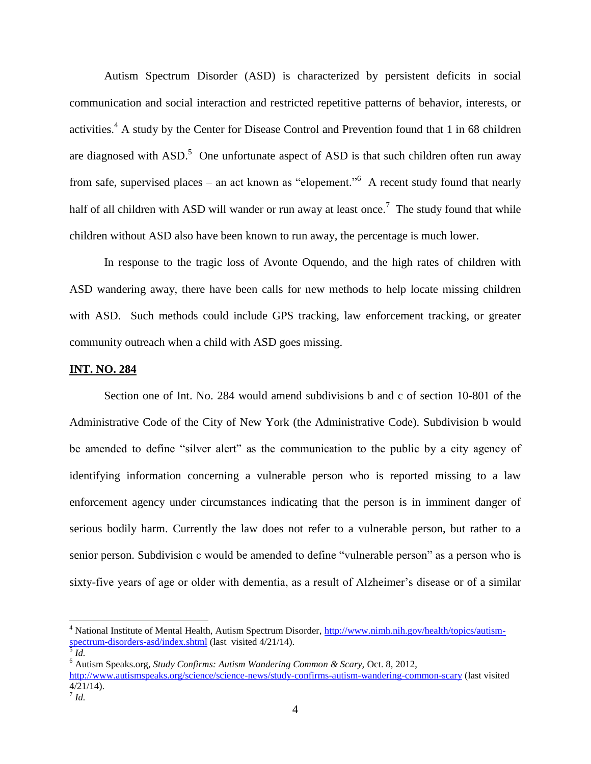Autism Spectrum Disorder (ASD) is characterized by persistent deficits in social communication and social interaction and restricted repetitive patterns of behavior, interests, or activities.<sup>4</sup> A study by the Center for Disease Control and Prevention found that 1 in 68 children are diagnosed with  $ASD$ .<sup>5</sup> One unfortunate aspect of ASD is that such children often run away from safe, supervised places – an act known as "elopement."<sup>6</sup> A recent study found that nearly half of all children with ASD will wander or run away at least once.<sup>7</sup> The study found that while children without ASD also have been known to run away, the percentage is much lower.

In response to the tragic loss of Avonte Oquendo, and the high rates of children with ASD wandering away, there have been calls for new methods to help locate missing children with ASD. Such methods could include GPS tracking, law enforcement tracking, or greater community outreach when a child with ASD goes missing.

### **INT. NO. 284**

Section one of Int. No. 284 would amend subdivisions b and c of section 10-801 of the Administrative Code of the City of New York (the Administrative Code). Subdivision b would be amended to define "silver alert" as the communication to the public by a city agency of identifying information concerning a vulnerable person who is reported missing to a law enforcement agency under circumstances indicating that the person is in imminent danger of serious bodily harm. Currently the law does not refer to a vulnerable person, but rather to a senior person. Subdivision c would be amended to define "vulnerable person" as a person who is sixty-five years of age or older with dementia, as a result of Alzheimer's disease or of a similar

 $\overline{\phantom{a}}$ 

<sup>&</sup>lt;sup>4</sup> National Institute of Mental Health, Autism Spectrum Disorder, [http://www.nimh.nih.gov/health/topics/autism](http://www.nimh.nih.gov/health/topics/autism-spectrum-disorders-asd/index.shtml)[spectrum-disorders-asd/index.shtml](http://www.nimh.nih.gov/health/topics/autism-spectrum-disorders-asd/index.shtml) (last visited 4/21/14). 5 *Id.*

<sup>6</sup> Autism Speaks.org, *Study Confirms: Autism Wandering Common & Scary,* Oct. 8, 2012, <http://www.autismspeaks.org/science/science-news/study-confirms-autism-wandering-common-scary> (last visited 4/21/14). 7 *Id.*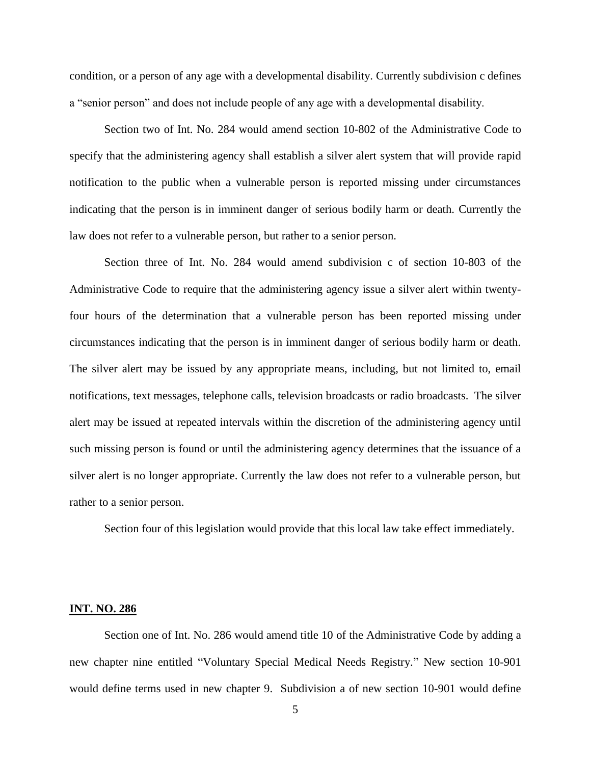condition, or a person of any age with a developmental disability. Currently subdivision c defines a "senior person" and does not include people of any age with a developmental disability.

Section two of Int. No. 284 would amend section 10-802 of the Administrative Code to specify that the administering agency shall establish a silver alert system that will provide rapid notification to the public when a vulnerable person is reported missing under circumstances indicating that the person is in imminent danger of serious bodily harm or death. Currently the law does not refer to a vulnerable person, but rather to a senior person.

Section three of Int. No. 284 would amend subdivision c of section 10-803 of the Administrative Code to require that the administering agency issue a silver alert within twentyfour hours of the determination that a vulnerable person has been reported missing under circumstances indicating that the person is in imminent danger of serious bodily harm or death. The silver alert may be issued by any appropriate means, including, but not limited to, email notifications, text messages, telephone calls, television broadcasts or radio broadcasts. The silver alert may be issued at repeated intervals within the discretion of the administering agency until such missing person is found or until the administering agency determines that the issuance of a silver alert is no longer appropriate. Currently the law does not refer to a vulnerable person, but rather to a senior person.

Section four of this legislation would provide that this local law take effect immediately.

#### **INT. NO. 286**

Section one of Int. No. 286 would amend title 10 of the Administrative Code by adding a new chapter nine entitled "Voluntary Special Medical Needs Registry." New section 10-901 would define terms used in new chapter 9. Subdivision a of new section 10-901 would define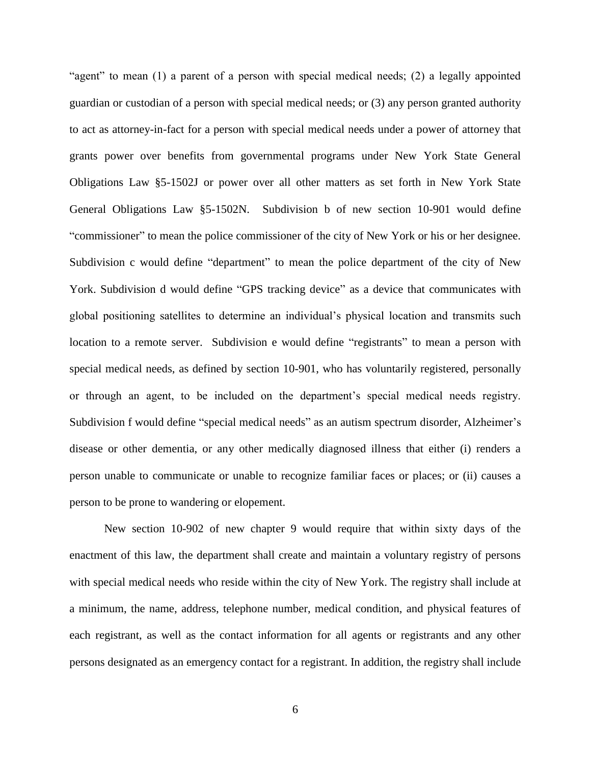"agent" to mean (1) a parent of a person with special medical needs; (2) a legally appointed guardian or custodian of a person with special medical needs; or (3) any person granted authority to act as attorney-in-fact for a person with special medical needs under a power of attorney that grants power over benefits from governmental programs under New York State General Obligations Law §5-1502J or power over all other matters as set forth in New York State General Obligations Law §5-1502N. Subdivision b of new section 10-901 would define "commissioner" to mean the police commissioner of the city of New York or his or her designee. Subdivision c would define "department" to mean the police department of the city of New York. Subdivision d would define "GPS tracking device" as a device that communicates with global positioning satellites to determine an individual's physical location and transmits such location to a remote server. Subdivision e would define "registrants" to mean a person with special medical needs, as defined by section 10-901, who has voluntarily registered, personally or through an agent, to be included on the department's special medical needs registry. Subdivision f would define "special medical needs" as an autism spectrum disorder, Alzheimer's disease or other dementia, or any other medically diagnosed illness that either (i) renders a person unable to communicate or unable to recognize familiar faces or places; or (ii) causes a person to be prone to wandering or elopement.

New section 10-902 of new chapter 9 would require that within sixty days of the enactment of this law, the department shall create and maintain a voluntary registry of persons with special medical needs who reside within the city of New York. The registry shall include at a minimum, the name, address, telephone number, medical condition, and physical features of each registrant, as well as the contact information for all agents or registrants and any other persons designated as an emergency contact for a registrant. In addition, the registry shall include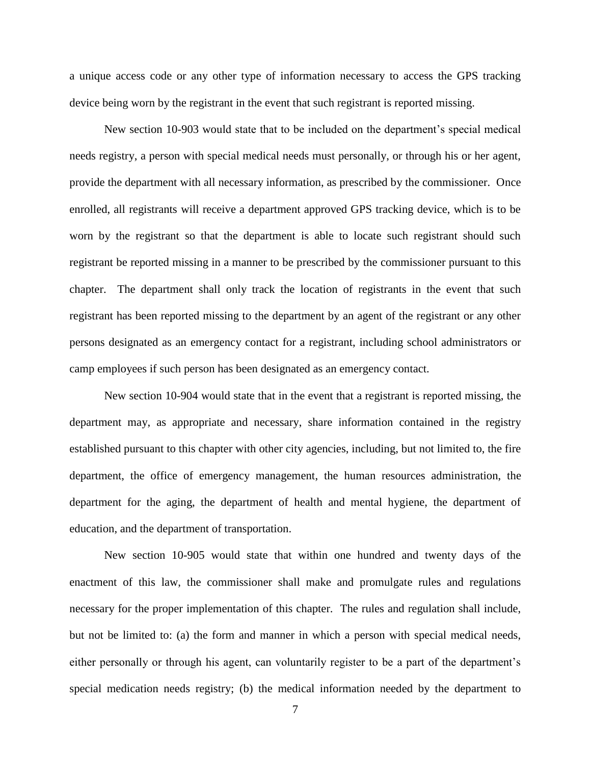a unique access code or any other type of information necessary to access the GPS tracking device being worn by the registrant in the event that such registrant is reported missing.

New section 10-903 would state that to be included on the department's special medical needs registry, a person with special medical needs must personally, or through his or her agent, provide the department with all necessary information, as prescribed by the commissioner. Once enrolled, all registrants will receive a department approved GPS tracking device, which is to be worn by the registrant so that the department is able to locate such registrant should such registrant be reported missing in a manner to be prescribed by the commissioner pursuant to this chapter. The department shall only track the location of registrants in the event that such registrant has been reported missing to the department by an agent of the registrant or any other persons designated as an emergency contact for a registrant, including school administrators or camp employees if such person has been designated as an emergency contact.

New section 10-904 would state that in the event that a registrant is reported missing, the department may, as appropriate and necessary, share information contained in the registry established pursuant to this chapter with other city agencies, including, but not limited to, the fire department, the office of emergency management, the human resources administration, the department for the aging, the department of health and mental hygiene, the department of education, and the department of transportation.

New section 10-905 would state that within one hundred and twenty days of the enactment of this law, the commissioner shall make and promulgate rules and regulations necessary for the proper implementation of this chapter. The rules and regulation shall include, but not be limited to: (a) the form and manner in which a person with special medical needs, either personally or through his agent, can voluntarily register to be a part of the department's special medication needs registry; (b) the medical information needed by the department to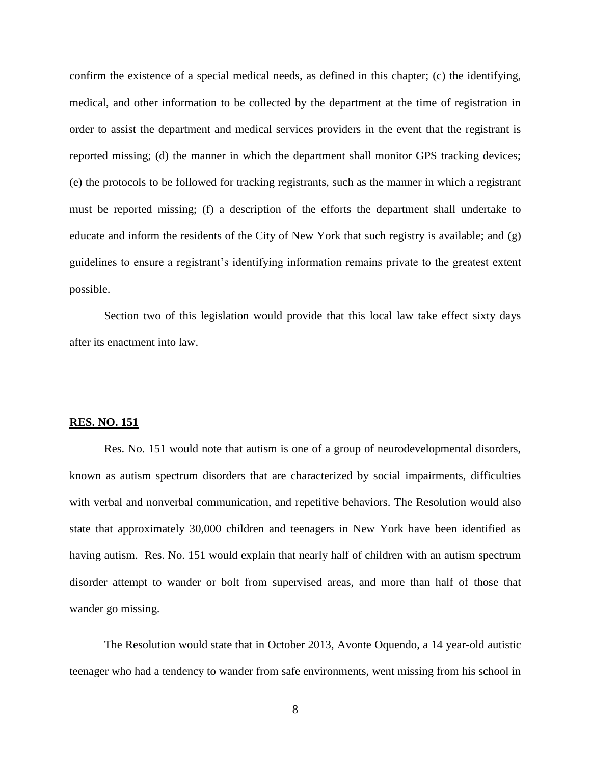confirm the existence of a special medical needs, as defined in this chapter; (c) the identifying, medical, and other information to be collected by the department at the time of registration in order to assist the department and medical services providers in the event that the registrant is reported missing; (d) the manner in which the department shall monitor GPS tracking devices; (e) the protocols to be followed for tracking registrants, such as the manner in which a registrant must be reported missing; (f) a description of the efforts the department shall undertake to educate and inform the residents of the City of New York that such registry is available; and (g) guidelines to ensure a registrant's identifying information remains private to the greatest extent possible.

Section two of this legislation would provide that this local law take effect sixty days after its enactment into law.

### **RES. NO. 151**

Res. No. 151 would note that autism is one of a group of neurodevelopmental disorders, known as autism spectrum disorders that are characterized by social impairments, difficulties with verbal and nonverbal communication, and repetitive behaviors. The Resolution would also state that approximately 30,000 children and teenagers in New York have been identified as having autism. Res. No. 151 would explain that nearly half of children with an autism spectrum disorder attempt to wander or bolt from supervised areas, and more than half of those that wander go missing.

The Resolution would state that in October 2013, Avonte Oquendo, a 14 year-old autistic teenager who had a tendency to wander from safe environments, went missing from his school in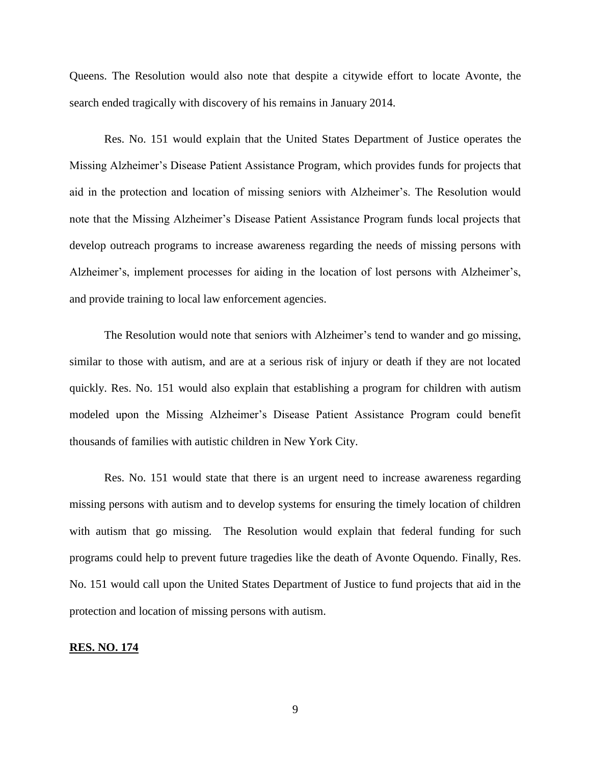Queens. The Resolution would also note that despite a citywide effort to locate Avonte, the search ended tragically with discovery of his remains in January 2014.

Res. No. 151 would explain that the United States Department of Justice operates the Missing Alzheimer's Disease Patient Assistance Program, which provides funds for projects that aid in the protection and location of missing seniors with Alzheimer's. The Resolution would note that the Missing Alzheimer's Disease Patient Assistance Program funds local projects that develop outreach programs to increase awareness regarding the needs of missing persons with Alzheimer's, implement processes for aiding in the location of lost persons with Alzheimer's, and provide training to local law enforcement agencies.

The Resolution would note that seniors with Alzheimer's tend to wander and go missing, similar to those with autism, and are at a serious risk of injury or death if they are not located quickly. Res. No. 151 would also explain that establishing a program for children with autism modeled upon the Missing Alzheimer's Disease Patient Assistance Program could benefit thousands of families with autistic children in New York City.

Res. No. 151 would state that there is an urgent need to increase awareness regarding missing persons with autism and to develop systems for ensuring the timely location of children with autism that go missing. The Resolution would explain that federal funding for such programs could help to prevent future tragedies like the death of Avonte Oquendo. Finally, Res. No. 151 would call upon the United States Department of Justice to fund projects that aid in the protection and location of missing persons with autism.

## **RES. NO. 174**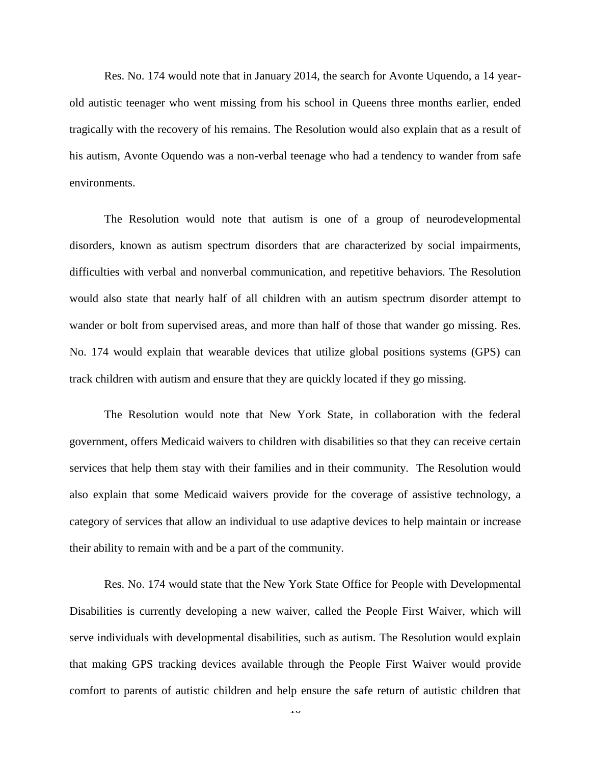Res. No. 174 would note that in January 2014, the search for Avonte Uquendo, a 14 yearold autistic teenager who went missing from his school in Queens three months earlier, ended tragically with the recovery of his remains. The Resolution would also explain that as a result of his autism, Avonte Oquendo was a non-verbal teenage who had a tendency to wander from safe environments.

The Resolution would note that autism is one of a group of neurodevelopmental disorders, known as autism spectrum disorders that are characterized by social impairments, difficulties with verbal and nonverbal communication, and repetitive behaviors. The Resolution would also state that nearly half of all children with an autism spectrum disorder attempt to wander or bolt from supervised areas, and more than half of those that wander go missing. Res. No. 174 would explain that wearable devices that utilize global positions systems (GPS) can track children with autism and ensure that they are quickly located if they go missing.

The Resolution would note that New York State, in collaboration with the federal government, offers Medicaid waivers to children with disabilities so that they can receive certain services that help them stay with their families and in their community. The Resolution would also explain that some Medicaid waivers provide for the coverage of assistive technology, a category of services that allow an individual to use adaptive devices to help maintain or increase their ability to remain with and be a part of the community.

Res. No. 174 would state that the New York State Office for People with Developmental Disabilities is currently developing a new waiver, called the People First Waiver, which will serve individuals with developmental disabilities, such as autism. The Resolution would explain that making GPS tracking devices available through the People First Waiver would provide comfort to parents of autistic children and help ensure the safe return of autistic children that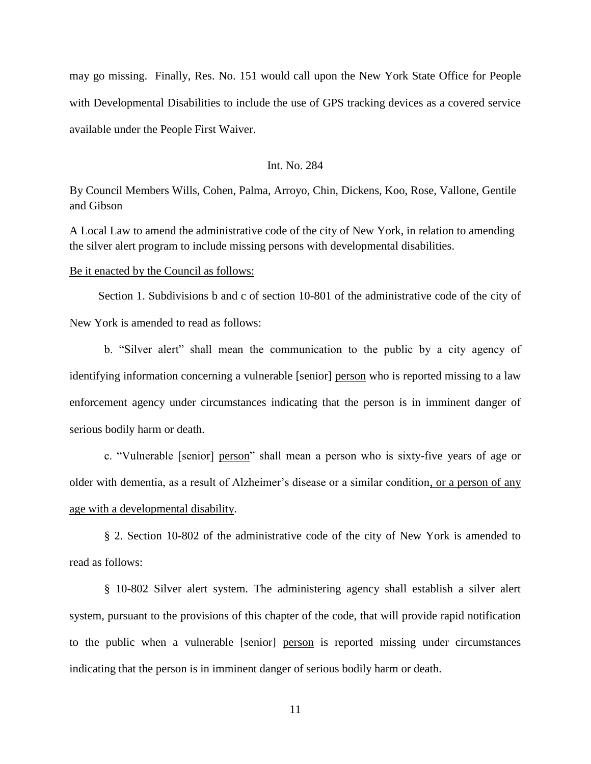may go missing. Finally, Res. No. 151 would call upon the New York State Office for People with Developmental Disabilities to include the use of GPS tracking devices as a covered service available under the People First Waiver.

# Int. No. 284

By Council Members Wills, Cohen, Palma, Arroyo, Chin, Dickens, Koo, Rose, Vallone, Gentile and Gibson

A Local Law to amend the administrative code of the city of New York, in relation to amending the silver alert program to include missing persons with developmental disabilities.

### Be it enacted by the Council as follows:

 Section 1. Subdivisions b and c of section 10-801 of the administrative code of the city of New York is amended to read as follows:

b. "Silver alert" shall mean the communication to the public by a city agency of identifying information concerning a vulnerable [senior] person who is reported missing to a law enforcement agency under circumstances indicating that the person is in imminent danger of serious bodily harm or death.

c. "Vulnerable [senior] person" shall mean a person who is sixty-five years of age or older with dementia, as a result of Alzheimer's disease or a similar condition, or a person of any age with a developmental disability.

§ 2. Section 10-802 of the administrative code of the city of New York is amended to read as follows:

§ 10-802 Silver alert system. The administering agency shall establish a silver alert system, pursuant to the provisions of this chapter of the code, that will provide rapid notification to the public when a vulnerable [senior] person is reported missing under circumstances indicating that the person is in imminent danger of serious bodily harm or death.

11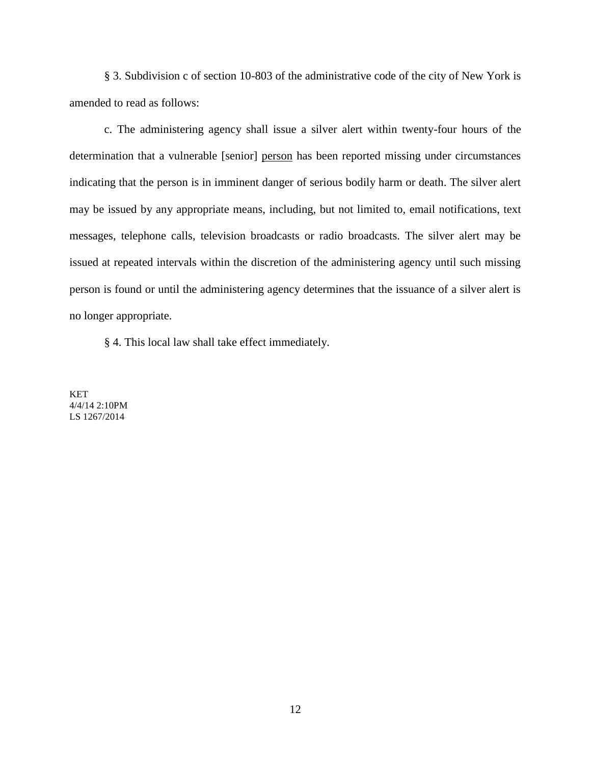§ 3. Subdivision c of section 10-803 of the administrative code of the city of New York is amended to read as follows:

c. The administering agency shall issue a silver alert within twenty-four hours of the determination that a vulnerable [senior] person has been reported missing under circumstances indicating that the person is in imminent danger of serious bodily harm or death. The silver alert may be issued by any appropriate means, including, but not limited to, email notifications, text messages, telephone calls, television broadcasts or radio broadcasts. The silver alert may be issued at repeated intervals within the discretion of the administering agency until such missing person is found or until the administering agency determines that the issuance of a silver alert is no longer appropriate.

§ 4. This local law shall take effect immediately.

KET 4/4/14 2:10PM LS 1267/2014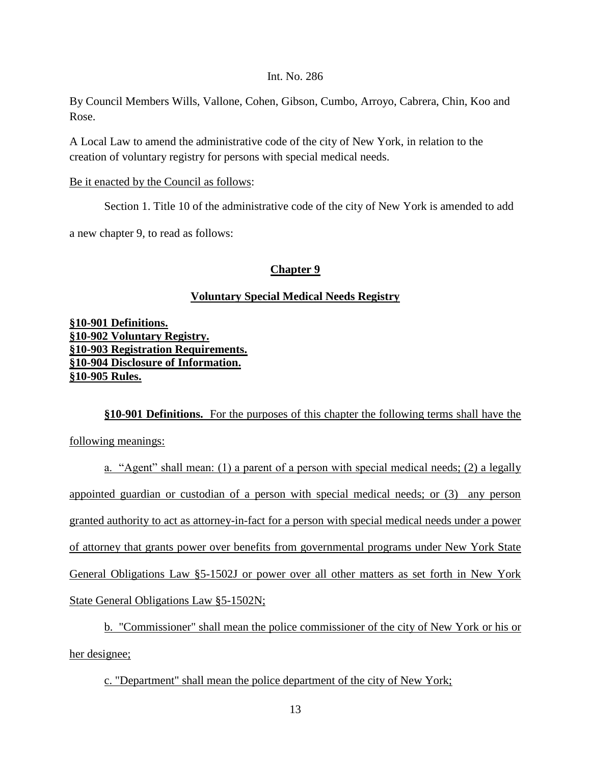# Int. No. 286

By Council Members Wills, Vallone, Cohen, Gibson, Cumbo, Arroyo, Cabrera, Chin, Koo and Rose.

A Local Law to amend the administrative code of the city of New York, in relation to the creation of voluntary registry for persons with special medical needs.

# Be it enacted by the Council as follows:

Section 1. Title 10 of the administrative code of the city of New York is amended to add

a new chapter 9, to read as follows:

# **Chapter 9**

# **Voluntary Special Medical Needs Registry**

**§10-901 Definitions. §10-902 Voluntary Registry. §10-903 Registration Requirements. §10-904 Disclosure of Information. §10-905 Rules.**

**§10-901 Definitions.** For the purposes of this chapter the following terms shall have the following meanings:

a. "Agent" shall mean: (1) a parent of a person with special medical needs; (2) a legally appointed guardian or custodian of a person with special medical needs; or (3) any person granted authority to act as attorney-in-fact for a person with special medical needs under a power of attorney that grants power over benefits from governmental programs under New York State General Obligations Law §5-1502J or power over all other matters as set forth in New York State General Obligations Law §5-1502N;

b. "Commissioner" shall mean the police commissioner of the city of New York or his or her designee;

c. "Department" shall mean the police department of the city of New York;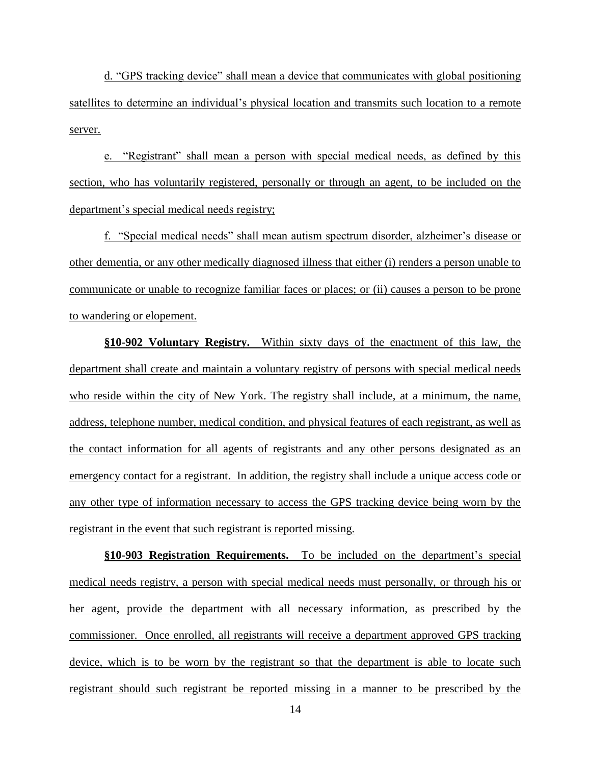d. "GPS tracking device" shall mean a device that communicates with global positioning satellites to determine an individual's physical location and transmits such location to a remote server.

e. "Registrant" shall mean a person with special medical needs, as defined by this section, who has voluntarily registered, personally or through an agent, to be included on the department's special medical needs registry;

f. "Special medical needs" shall mean autism spectrum disorder, alzheimer's disease or other dementia, or any other medically diagnosed illness that either (i) renders a person unable to communicate or unable to recognize familiar faces or places; or (ii) causes a person to be prone to wandering or elopement.

**§10-902 Voluntary Registry.** Within sixty days of the enactment of this law, the department shall create and maintain a voluntary registry of persons with special medical needs who reside within the city of New York. The registry shall include, at a minimum, the name, address, telephone number, medical condition, and physical features of each registrant, as well as the contact information for all agents of registrants and any other persons designated as an emergency contact for a registrant. In addition, the registry shall include a unique access code or any other type of information necessary to access the GPS tracking device being worn by the registrant in the event that such registrant is reported missing.

**§10-903 Registration Requirements.** To be included on the department's special medical needs registry, a person with special medical needs must personally, or through his or her agent, provide the department with all necessary information, as prescribed by the commissioner. Once enrolled, all registrants will receive a department approved GPS tracking device, which is to be worn by the registrant so that the department is able to locate such registrant should such registrant be reported missing in a manner to be prescribed by the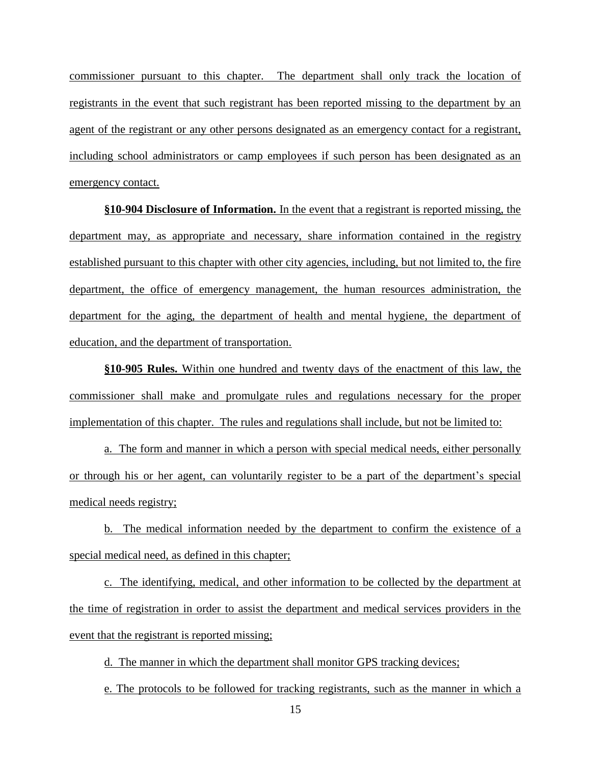commissioner pursuant to this chapter. The department shall only track the location of registrants in the event that such registrant has been reported missing to the department by an agent of the registrant or any other persons designated as an emergency contact for a registrant, including school administrators or camp employees if such person has been designated as an emergency contact.

**§10-904 Disclosure of Information.** In the event that a registrant is reported missing, the department may, as appropriate and necessary, share information contained in the registry established pursuant to this chapter with other city agencies, including, but not limited to, the fire department, the office of emergency management, the human resources administration, the department for the aging, the department of health and mental hygiene, the department of education, and the department of transportation.

**§10-905 Rules.** Within one hundred and twenty days of the enactment of this law, the commissioner shall make and promulgate rules and regulations necessary for the proper implementation of this chapter. The rules and regulations shall include, but not be limited to:

a. The form and manner in which a person with special medical needs, either personally or through his or her agent, can voluntarily register to be a part of the department's special medical needs registry;

b. The medical information needed by the department to confirm the existence of a special medical need, as defined in this chapter;

c. The identifying, medical, and other information to be collected by the department at the time of registration in order to assist the department and medical services providers in the event that the registrant is reported missing;

d. The manner in which the department shall monitor GPS tracking devices;

e. The protocols to be followed for tracking registrants, such as the manner in which a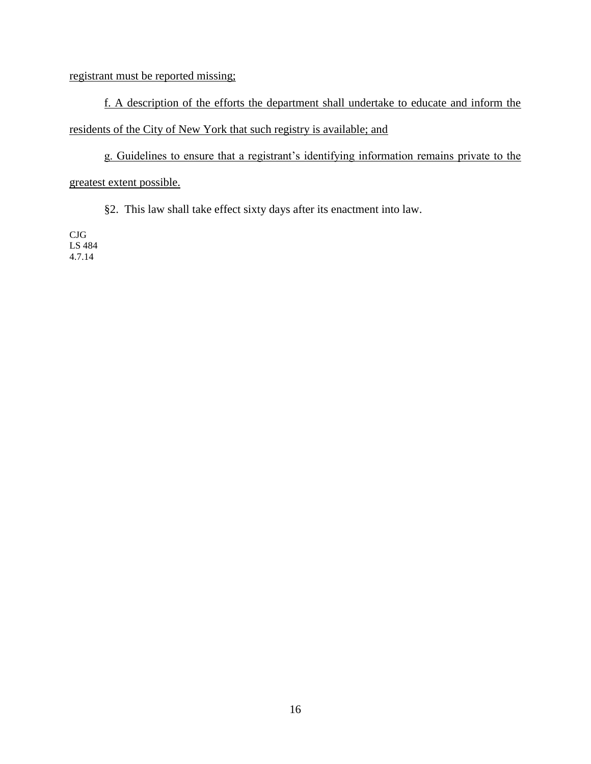# registrant must be reported missing;

f. A description of the efforts the department shall undertake to educate and inform the residents of the City of New York that such registry is available; and

g. Guidelines to ensure that a registrant's identifying information remains private to the greatest extent possible.

§2. This law shall take effect sixty days after its enactment into law.

CJG LS 484 4.7.14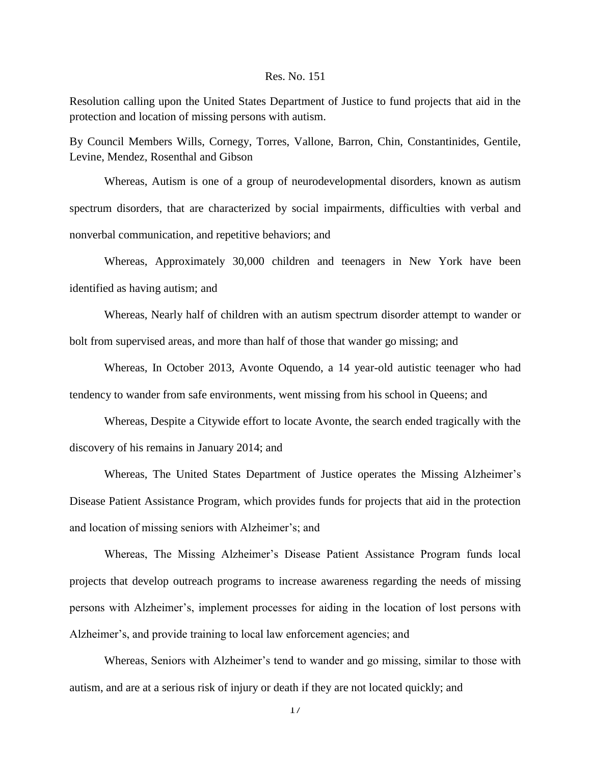#### Res. No. 151

Resolution calling upon the United States Department of Justice to fund projects that aid in the protection and location of missing persons with autism.

By Council Members Wills, Cornegy, Torres, Vallone, Barron, Chin, Constantinides, Gentile, Levine, Mendez, Rosenthal and Gibson

Whereas, Autism is one of a group of neurodevelopmental disorders, known as autism spectrum disorders, that are characterized by social impairments, difficulties with verbal and nonverbal communication, and repetitive behaviors; and

Whereas, Approximately 30,000 children and teenagers in New York have been identified as having autism; and

Whereas, Nearly half of children with an autism spectrum disorder attempt to wander or bolt from supervised areas, and more than half of those that wander go missing; and

Whereas, In October 2013, Avonte Oquendo, a 14 year-old autistic teenager who had tendency to wander from safe environments, went missing from his school in Queens; and

Whereas, Despite a Citywide effort to locate Avonte, the search ended tragically with the discovery of his remains in January 2014; and

Whereas, The United States Department of Justice operates the Missing Alzheimer's Disease Patient Assistance Program, which provides funds for projects that aid in the protection and location of missing seniors with Alzheimer's; and

Whereas, The Missing Alzheimer's Disease Patient Assistance Program funds local projects that develop outreach programs to increase awareness regarding the needs of missing persons with Alzheimer's, implement processes for aiding in the location of lost persons with Alzheimer's, and provide training to local law enforcement agencies; and

Whereas, Seniors with Alzheimer's tend to wander and go missing, similar to those with autism, and are at a serious risk of injury or death if they are not located quickly; and

17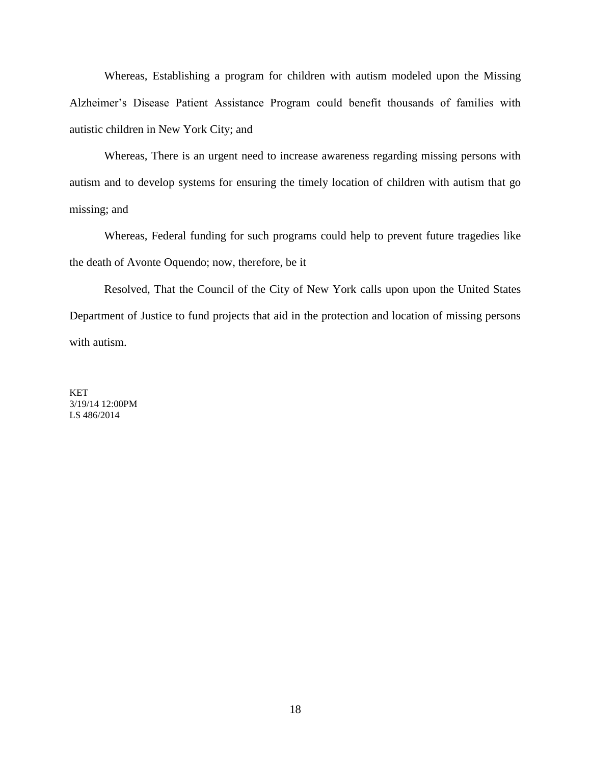Whereas, Establishing a program for children with autism modeled upon the Missing Alzheimer's Disease Patient Assistance Program could benefit thousands of families with autistic children in New York City; and

Whereas, There is an urgent need to increase awareness regarding missing persons with autism and to develop systems for ensuring the timely location of children with autism that go missing; and

Whereas, Federal funding for such programs could help to prevent future tragedies like the death of Avonte Oquendo; now, therefore, be it

Resolved, That the Council of the City of New York calls upon upon the United States Department of Justice to fund projects that aid in the protection and location of missing persons with autism.

**KET** 3/19/14 12:00PM LS 486/2014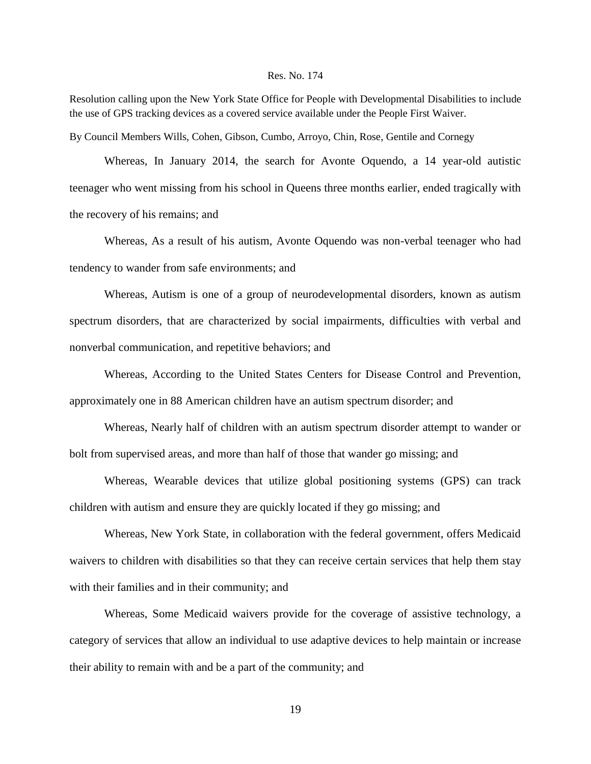### Res. No. 174

Resolution calling upon the New York State Office for People with Developmental Disabilities to include the use of GPS tracking devices as a covered service available under the People First Waiver.

By Council Members Wills, Cohen, Gibson, Cumbo, Arroyo, Chin, Rose, Gentile and Cornegy

Whereas, In January 2014, the search for Avonte Oquendo, a 14 year-old autistic teenager who went missing from his school in Queens three months earlier, ended tragically with the recovery of his remains; and

Whereas, As a result of his autism, Avonte Oquendo was non-verbal teenager who had tendency to wander from safe environments; and

Whereas, Autism is one of a group of neurodevelopmental disorders, known as autism spectrum disorders, that are characterized by social impairments, difficulties with verbal and nonverbal communication, and repetitive behaviors; and

Whereas, According to the United States Centers for Disease Control and Prevention, approximately one in 88 American children have an autism spectrum disorder; and

Whereas, Nearly half of children with an autism spectrum disorder attempt to wander or bolt from supervised areas, and more than half of those that wander go missing; and

Whereas, Wearable devices that utilize global positioning systems (GPS) can track children with autism and ensure they are quickly located if they go missing; and

Whereas, New York State, in collaboration with the federal government, offers Medicaid waivers to children with disabilities so that they can receive certain services that help them stay with their families and in their community; and

Whereas, Some Medicaid waivers provide for the coverage of assistive technology, a category of services that allow an individual to use adaptive devices to help maintain or increase their ability to remain with and be a part of the community; and